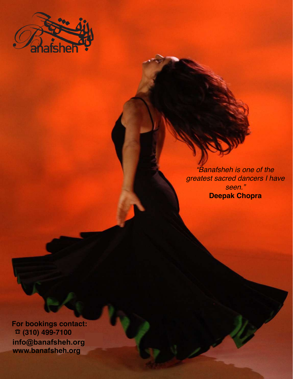

*"Banafsheh is one of the greatest sacred dancers I have seen."*  **Deepak Chopra**

 **For bookings contact: (310) 499-7100** ☎  **bookings@banafsheh.org info@banafsheh.org www.banafsheh.org**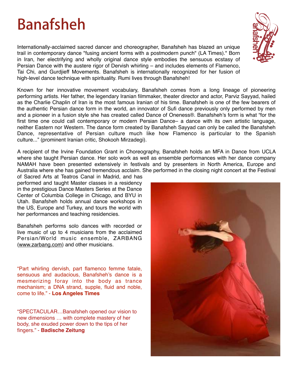# **Banafsheh**

Internationally-acclaimed sacred dancer and choreographer, Banafsheh has blazed an unique trail in contemporary dance "fusing ancient forms with a postmodern punch" (LA Times)." Born in Iran, her electrifying and wholly original dance style embodies the sensuous ecstasy of Persian Dance with the austere rigor of Dervish whirling – and includes elements of Flamenco, Tai Chi, and Gurdjieff Movements. Banafsheh is internationally recognized for her fusion of high-level dance technique with spirituality. Rumi lives through Banafsheh!

Known for her innovative movement vocabulary, Banafsheh comes from a long lineage of pioneering performing artists. Her father, the legendary Iranian filmmaker, theater director and actor, Parviz Sayyad, hailed as the Charlie Chaplin of Iran is the most famous Iranian of his time. Banafsheh is one of the few bearers of the authentic Persian dance form in the world, an innovator of Sufi dance previously only performed by men and a pioneer in a fusion style she has created called Dance of Oneness®. Banafsheh's form is what "for the first time one could call contemporary or modern Persian Dance– a dance with its own artistic language, neither Eastern nor Western. The dance form created by Banafsheh Sayyad can only be called the Banafsheh Dance, representative of Persian culture much like how Flamenco is particular to the Spanish culture..." (prominent Iranian critic, Shokooh Mirzadegi).

A recipient of the Irvine Foundation Grant in Choreography, Banafsheh holds an MFA in Dance from UCLA where she taught Persian dance. Her solo work as well as ensemble performances with her dance company NAMAH have been presented extensively in festivals and by presenters in North America, Europe and Australia where she has gained tremendous acclaim. She performed in the closing night concert at the Festival

of Sacred Arts at Teatros Canal in Madrid, and has performed and taught Master classes in a residency in the prestigious Dance Masters Series at the Dance Center of Columbia College in Chicago, and BYU in Utah. Banafsheh holds annual dance workshops in the US, Europe and Turkey, and tours the world with her performances and teaching residencies.

Banafsheh performs solo dances with recorded or live music of up to 4 musicians from the acclaimed Persian/World music ensemble, ZARBANG (www.zarbang.com) and other musicians.

"Part whirling dervish, part flamenco femme fatale, sensuous and audacious, Banafsheh's dance is a mesmerizing foray into the body as trance mechanism; a DNA strand, supple, fluid and noble, come to life." - **Los Angeles Times**

"SPECTACULAR…Banafsheh opened our vision to new dimensions … with complete mastery of her body, she exuded power down to the tips of her fingers." - **Badische Zeitung**



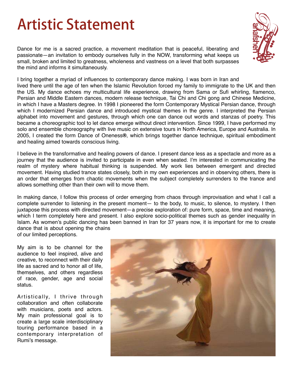# **Artistic Statement**

Dance for me is a sacred practice, a movement meditation that is peaceful, liberating and passionate—an invitation to embody ourselves fully in the NOW, transforming what keeps us small, broken and limited to greatness, wholeness and vastness on a level that both surpasses the mind and informs it simultaneously.



I bring together a myriad of influences to contemporary dance making. I was born in Iran and

lived there until the age of ten when the Islamic Revolution forced my family to immigrate to the UK and then the US. My dance echoes my multicultural life experience, drawing from Sama or Sufi whirling, flamenco, Persian and Middle Eastern dances, modern release technique, Tai Chi and Chi gong and Chinese Medicine, in which I have a Masters degree. In 1998 I pioneered the form Contemporary Mystical Persian dance, through which I modernized Persian dance and introduced mystical themes in the genre. I interpreted the Persian alphabet into movement and gestures, through which one can dance out words and stanzas of poetry. This became a choreographic tool to let dance emerge without direct intervention. Since 1999, I have performed my solo and ensemble choreography with live music on extensive tours in North America, Europe and Australia. In 2005, I created the form Dance of Oneness**®**, which brings together dance technique, spiritual embodiment and healing aimed towards conscious living.

I believe in the transformative and healing powers of dance. I present dance less as a spectacle and more as a journey that the audience is invited to participate in even when seated. I'm interested in communicating the realm of mystery where habitual thinking is suspended. My work lies between emergent and directed movement. Having studied trance states closely, both in my own experiences and in observing others, there is an order that emerges from chaotic movements when the subject completely surrenders to the trance and allows something other than their own will to move them.

In making dance, I follow this process of order emerging from chaos through improvisation and what I call a complete surrender to listening in the present moment— to the body, to music, to silence, to mystery. I then juxtapose this process with directed movement—a precise exploration of: pure form, space, time and meaning, which I term completely here and present. I also explore socio-political themes such as gender inequality in Islam. As women's public dancing has been banned in Iran for 37 years now, it is important for me to create dance that is about opening the chains of our limited perceptions.

My aim is to be channel for the

audience to feel inspired, alive and creative, to reconnect with their daily life as sacred and to honor all of life, themselves, and others regardless of race, gender, age and social status.

Artistically, I thrive through collaboration and often collaborate with musicians, poets and actors. My main professional goal is to create a large scale interdisciplinary touring performance based in a contemporary interpretation of Rumi's message.

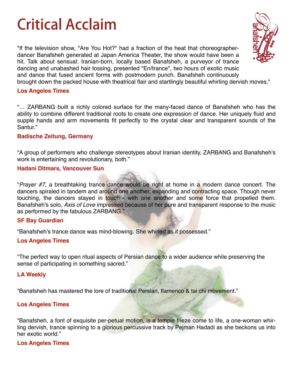## **Critical Acclaim**

"If the television show, "Are You Hot?" had a fraction of the heat that choreographerdancer Banafsheh generated at Japan America Theater, the show would have been a hit. Talk about sensual: Iranian-born, locally based Banafsheh, a purveyor of trance dancing and unabashed hair tossing, presented "En/trance", two hours of exotic music and dance that fused ancient forms with postmodern punch. Banafsheh continuously brought down the packed house with theatrical flair and startlingly beautiful whirling dervish moves."



"… ZARBANG built a richly colored surface for the many-faced dance of Banafsheh who has the ability to combine different traditional roots to create one expression of dance. Her uniquely fluid and supple hands and arm movements fit perfectly to the crystal clear and transparent sounds of the Santur."

### **Badische Zeitung, Germany**

"A group of performers who challenge stereotypes about Iranian identity, ZARBANG and Banafsheh's work is entertaining and revolutionary, both."

#### **Hadani Ditmars, Vancouver Sun**

"*Prayer #7*, a breathtaking trance dance would be right at home in a modern dance concert. The dancers spiraled in tandem and around one another, expanding and contracting space. Though never touching, the dancers stayed in touch - with one another and some force that propelled them. Banafsheh's solo, *Axis of Love* impressed because of her pure and transparent response to the music as performed by the fabulous ZARBANG."

### **SF Bay Guardian**

"Banafsheh's trance dance was mind-blowing. She whirled as if possessed."

### **Los Angeles Times**

"The perfect way to open ritual aspects of Persian dance to a wider audience while preserving the sense of participating in something sacred."

### **LA Weekly**

"Banafsheh has mastered the lore of traditional Persian, flamenco & tai chi movement."

### **Los Angeles Times**

"Banafsheh, a font of exquisite per-petual motion, is a temple frieze come to life, a one-woman whirling dervish, trance spinning to a glorious percussive track by Pejman Hadadi as she beckons us into her exotic world."

### **Los Angeles Times**

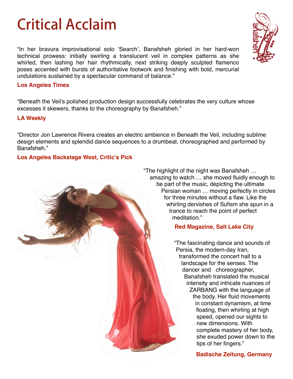## **Critical Acclaim**

"In her bravura improvisational solo 'Search', Banafsheh gloried in her hard-won technical prowess: initially swirling a translucent veil in complex patterns as she whirled, then lashing her hair rhythmically, next striking deeply sculpted flamenco poses accented with bursts of authoritative footwork and finishing with bold, mercurial undulations sustained by a spectacular command of balance."

### **Los Angeles Times**

"Beneath the Veil's polished production design successfully celebrates the very culture whose excesses it skewers, thanks to the choreography by Banafsheh."

### **LA Weekly**

"Director Jon Lawrence Rivera creates an electric ambience in Beneath the Veil, including sublime design elements and splendid dance sequences to a drumbeat, choreographed and performed by Banafsheh."

### **Los Angeles Backstage West, Critic's Pick**

"The highlight of the night was Banafsheh … amazing to watch … she moved fluidly enough to be part of the music, depicting the ultimate Persian woman … moving perfectly in circles for three minutes without a flaw. Like the whirling dervishes of Sufism she spun in a trance to reach the point of perfect meditation."

## **Red Magazine, Salt Lake City**

"The fascinating dance and sounds of Persia, the modern-day Iran, transformed the concert hall to a landscape for the senses. The dancer and choreographer, Banafsheh translated the musical intensity and intricate nuances of ZARBANG with the language of the body. Her fluid movements in constant dynamism, at time floating, then whirling at high speed, opened our sights to new dimensions. With complete mastery of her body, she exuded power down to the tips of her fingers."

## **Badische Zeitung, Germany**

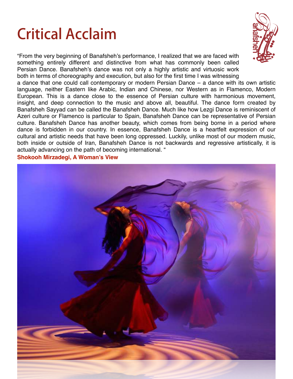# **Critical Acclaim**

"From the very beginning of Banafsheh's performance, I realized that we are faced with something entirely different and distinctive from what has commonly been called Persian Dance. Banafsheh's dance was not only a highly artistic and virtuosic work both in terms of choreography and execution, but also for the first time I was witnessing



a dance that one could call contemporary or modern Persian Dance – a dance with its own artistic language, neither Eastern like Arabic, Indian and Chinese, nor Western as in Flamenco, Modern European. This is a dance close to the essence of Persian culture with harmonious movement, insight, and deep connection to the music and above all, beautiful. The dance form created by Banafsheh Sayyad can be called the Banafsheh Dance. Much like how Lezgi Dance is reminiscent of Azeri culture or Flamenco is particular to Spain, Banafsheh Dance can be representative of Persian culture. Banafsheh Dance has another beauty, which comes from being borne in a period where dance is forbidden in our country. In essence, Banafsheh Dance is a heartfelt expression of our cultural and artistic needs that have been long oppressed. Luckily, unlike most of our modern music, both inside or outside of Iran, Banafsheh Dance is not backwards and regressive artistically, it is actually advancing on the path of becoming international. "

**Shokooh Mirzadegi, A Woman's View**

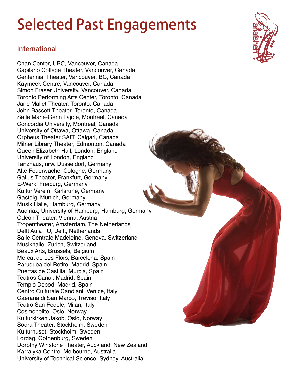# **Selected Past Engagements**

## **International**

Chan Center, UBC, Vancouver, Canada Capilano College Theater, Vancouver, Canada Centennial Theater, Vancouver, BC, Canada Kaymeek Centre, Vancouver, Canada Simon Fraser University, Vancouver, Canada Toronto Performing Arts Center, Toronto, Canada Jane Mallet Theater, Toronto, Canada John Bassett Theater, Toronto, Canada Salle Marie-Gerin Lajoie, Montreal, Canada Concordia University, Montreal, Canada University of Ottawa, Ottawa, Canada Orpheus Theater SAIT, Calgari, Canada Milner Library Theater, Edmonton, Canada Queen Elizabeth Hall, London, England University of London, England Tanzhaus, nrw, Dusseldorf, Germany Alte Feuerwache, Cologne, Germany Gallus Theater, Frankfurt, Germany E-Werk, Freiburg, Germany Kultur Verein, Karlsruhe, Germany Gasteig, Munich, Germany Musik Halle, Hamburg, Germany Audiriax, University of Hamburg, Hamburg, Germany Odeon Theater, Vienna, Austria Tropentheater, Amsterdam, The Netherlands Delft Aula TU, Delft, Netherlands Salle Centrale Madeleine, Geneva, Switzerland Musikhalle, Zurich, Switzerland Beaux Arts, Brussels, Belgium Mercat de Les Flors, Barcelona, Spain Paruquea del Retiro, Madrid, Spain Puertas de Castilla, Murcia, Spain Teatros Canal, Madrid, Spain Templo Debod, Madrid, Spain Centro Culturale Candiani, Venice, Italy Caerana di San Marco, Treviso, Italy Teatro San Fedele, Milan, Italy Cosmopolite, Oslo, Norway Kulturkirken Jakob, Oslo, Norway Sodra Theater, Stockholm, Sweden Kulturhuset, Stockholm, Sweden Lordag, Gothenburg, Sweden Dorothy Winstone Theater, Auckland, New Zealand Karralyka Centre, Melbourne, Australia University of Technical Science, Sydney, Australia

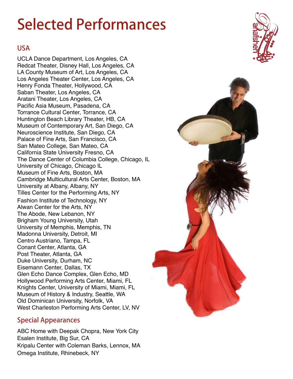# **Selected Performances**

## **USA**

UCLA Dance Department, Los Angeles, CA Redcat Theater, Disney Hall, Los Angeles, CA LA County Museum of Art, Los Angeles, CA Los Angeles Theater Center, Los Angeles, CA Henry Fonda Theater, Hollywood, CA Saban Theater, Los Angeles, CA Aratani Theater, Los Angeles, CA Pacific Asia Museum, Pasadena, CA Torrance Cultural Center, Torrance, CA Huntington Beach Library Theater, HB, CA Museum of Contemporary Art, San Diego, CA Neuroscience Institute, San Diego, CA Palace of Fine Arts, San Francisco, CA San Mateo College, San Mateo, CA California State University Fresno, CA The Dance Center of Columbia College, Chicago, IL University of Chicago, Chicago IL Museum of Fine Arts, Boston, MA Cambridge Multicultural Arts Center, Boston, MA University at Albany, Albany, NY Tilles Center for the Performing Arts, NY Fashion Institute of Technology, NY Alwan Center for the Arts, NY The Abode, New Lebanon, NY Brigham Young University, Utah University of Memphis, Memphis, TN Madonna University, Detroit, MI Centro Austriano, Tampa, FL Conant Center, Atlanta, GA Post Theater, Atlanta, GA Duke University, Durham, NC Eisemann Center, Dallas, TX Glen Echo Dance Complex, Glen Echo, MD Hollywood Performing Arts Center, Miami, FL Knights Center, University of Miami, Miami, FL Museum of History & Industry, Seattle, WA Old Dominican University, Norfolk, VA West Charleston Performing Arts Center, LV, NV

## **Special Appearances**

ABC Home with Deepak Chopra, New York City Esalen Institute, Big Sur, CA Kripalu Center with Coleman Barks, Lennox, MA Omega Institute, Rhinebeck, NY



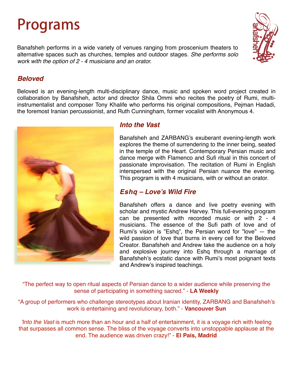## **Programs**

Banafsheh performs in a wide variety of venues ranging from proscenium theaters to alternative spaces such as churches, temples and outdoor stages. *She performs solo work with the option of 2 - 4 musicians and an orator.*



## *Beloved*

Beloved is an evening-length multi-disciplinary dance, music and spoken word project created in collaboration by Banafsheh, actor and director Shila Ommi who recites the poetry of Rumi, multiinstrumentalist and composer Tony Khalife who performs his original compositions, Pejman Hadadi, the foremost Iranian percussionist, and Ruth Cunningham, former vocalist with Anonymous 4.



## *Into the Vast*

Banafsheh and ZARBANG's exuberant evening-length work explores the theme of surrendering to the inner being, seated in the temple of the Heart. Contemporary Persian music and dance merge with Flamenco and Sufi ritual in this concert of passionate improvisation. The recitation of Rumi in English interspersed with the original Persian nuance the evening. This program is with 4 musicians, with or without an orator.

## *Eshq – Love's Wild Fire*

Banafsheh offers a dance and live poetry evening with scholar and mystic Andrew Harvey. This full-evening program can be presented with recorded music or with 2 - 4 musicians. The essence of the Sufi path of love and of Rumi's vision is "Eshq", the Persian word for "love" — the wild passion of love that burns in every cell for the Beloved Creator. Banafsheh and Andrew take the audience on a holy and explosive journey into Eshq through a marriage of Banafsheh's ecstatic dance with Rumi's most poignant texts and Andrew's inspired teachings.

"The perfect way to open ritual aspects of Persian dance to a wider audience while preserving the sense of participating in something sacred." - **LA Weekly**

"A group of performers who challenge stereotypes about Iranian identity, ZARBANG and Banafsheh's work is entertaining and revolutionary, both." - **Vancouver Sun**

*'Into the Vast* is much more than an hour and a half of entertainment, it is a voyage rich with feeling that surpasses all common sense. The bliss of the voyage converts into unstoppable applause at the end. The audience was driven crazy!" - **El Pais, Madrid**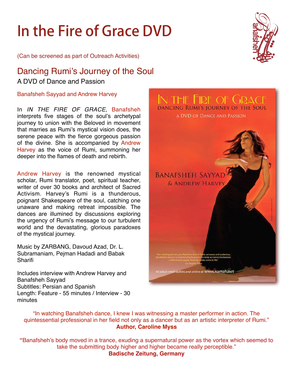# **In the Fire of Grace DVD**

(Can be screened as part of Outreach Activities)

## Dancing Rumi's Journey of the Soul A DVD of Dance and Passion

Banafsheh Sayyad and Andrew Harvey

In *IN THE FIRE OF GRACE*, Banafsheh interprets five stages of the soul's archetypal journey to union with the Beloved in movement that marries as Rumi's mystical vision does, the serene peace with the fierce gorgeous passion of the divine. She is accompanied by Andrew Harvey as the voice of Rumi, summoning her deeper into the flames of death and rebirth.

Andrew Harvey is the renowned mystical scholar, Rumi translator, poet, spiritual teacher, writer of over 30 books and architect of Sacred Activism. Harvey's Rumi is a thunderous, poignant Shakespeare of the soul, catching one unaware and making retreat impossible. The dances are illumined by discussions exploring the urgency of Rumi's message to our turbulent world and the devastating, glorious paradoxes of the mystical journey.

Music by ZARBANG, Davoud Azad, Dr. L. Subramaniam, Pejman Hadadi and Babak **Sharifi** 

Includes interview with Andrew Harvey and Banafsheh Sayyad Subtitles: Persian and Spanish Length: Feature - 55 minutes / Interview - 30 minutes





"In watching Banafsheh dance, I knew I was witnessing a master performer in action. The quintessential professional in her field not only as a dancer but as an artistic interpreter of Rumi." **Author, Caroline Myss**

**"**Banafsheh's body moved in a trance, exuding a supernatural power as the vortex which seemed to take the submitting body higher and higher became really perceptible." **Badische Zeitung, Germany**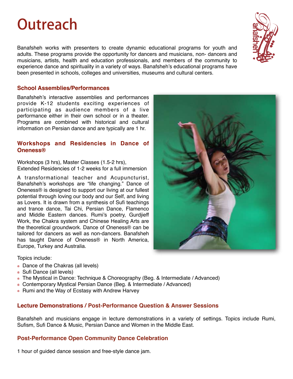## **Outreach**

Banafsheh works with presenters to create dynamic educational programs for youth and adults. These programs provide the opportunity for dancers and musicians, non- dancers and musicians, artists, health and education professionals, and members of the community to experience dance and spirituality in a variety of ways. Banafsheh's educational programs have been presented in schools, colleges and universities, museums and cultural centers.

#### **School Assemblies/Performances**

Banafsheh's interactive assemblies and performances provide K-12 students exciting experiences of participating as audience members of a live performance either in their own school or in a theater. Programs are combined with historical and cultural information on Persian dance and are typically are 1 hr.

#### **Workshops and Residencies in Dance of Oneness®**

Workshops (3 hrs), Master Classes (1.5-2 hrs), Extended Residencies of 1-2 weeks for a full immersion

A transformational teacher and Acupuncturist, Banafsheh's workshops are "life changing." Dance of Oneness® is designed to support our living at our fullest potential through loving our body and our Self, and living as Lovers. It is drawn from a synthesis of Sufi teachings and trance dance, Tai Chi, Persian Dance, Flamenco and Middle Eastern dances. Rumi's poetry, Gurdjieff Work, the Chakra system and Chinese Healing Arts are the theoretical groundwork. Dance of Oneness® can be tailored for dancers as well as non-dancers. Banafsheh has taught Dance of Oneness® in North America, Europe, Turkey and Australia.



#### Topics include:

- Dance of the Chakras (all levels)
- Sufi Dance (all levels)
- The Mystical in Dance: Technique & Choreography (Beg. & Intermediate / Advanced)
- Contemporary Mystical Persian Dance (Beg. & Intermediate / Advanced)
- Rumi and the Way of Ecstasy with Andrew Harvey

### **Lecture Demonstrations / Post-Performance Question & Answer Sessions**

Banafsheh and musicians engage in lecture demonstrations in a variety of settings. Topics include Rumi, Sufism, Sufi Dance & Music, Persian Dance and Women in the Middle East.

### **Post-Performance Open Community Dance Celebration**

1 hour of guided dance session and free-style dance jam.

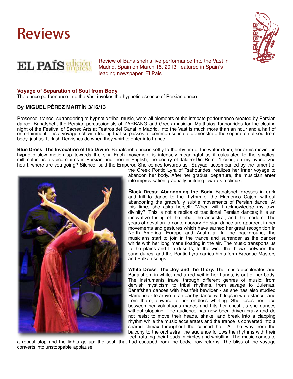





Review of Banafsheh's live performance Into the Vast in Madrid, Spain on March 15, 2013, featured in Spain's leading newspaper, El Pais

#### **Voyage of Separation of Soul from Body**

The dance performance Into the Vast invokes the hypnotic essence of Persian dance

#### **By MIGUEL PÉREZ MARTÍN 3/16/13**

Presence, trance, surrendering to hypnotic tribal music, were all elements of the intricate performance created by Persian dancer Banafsheh, the Persian percussionists of ZARBANG and Greek musician Matthaios Tsahourides for the closing night of the Festival of Sacred Arts at Teatros del Canal in Madrid. Into the Vast is much more than an hour and a half of entertainment. It is a voyage rich with feeling that surpasses all common sense to demonstrate the separation of soul from body, just as Turkish Dervishes do when they whirl to enter into trance.

**Blue Dress**: **The Invocation of the Divine**. Banafsheh dances softly to the rhythm of the water drum, her arms moving in hypnotic slow motion up towards the sky. Each movement is intensely meaningful as if calculated to the smallest millimeter, as a voice claims in Persian and then in English, the poetry of Jalāl-e-Din Rumi: 'I cried, oh my hypnotized heart, where are you going? Silence, said the Emperor. She comes towards us'. Sayyad, accompanied by the lament of



the Greek Pontic Lyra of Tsahourides, realizes her inner voyage to abandon her body. After her gradual departure, the musician enter into improvisation gradually building towards a climax.

**Black Dress**: **Abandoning the Body.** Banafsheh dresses in dark and frill to dance to the rhythm of the Flamenco Cajón, without abandoning the gracefully subtle movements of Persian dance. At this time, she asks herself: 'When will I acknowledge my own divinity?' This is not a replica of traditional Persian dances; it is an innovative fusing of the tribal, the ancestral, and the modern. The years of devotion to contemporary Persian dance are apparent in her movements and gestures which have earned her great recognition in North America, Europe and Australia. In the background, the musicians start to join in the trance and surrender as the dancer whirls with her long mane floating in the air. The music transports us to the plains and the deserts, to the wind that blows between the sand dunes, and the Pontic Lyra carries hints form Baroque Masters and Balkan songs.

**White Dress**: **The Joy and the Glory.** The music accelerates and Banafsheh, in white, and a red veil in her hands, is out of her body. The instruments travel through different genres of music: from dervish mysticism to tribal rhythms, from savage to Bulerías. Banafsheh dances with heartfelt bewilder - as she has also studied Flamenco - to arrive at an earthy dance with legs in wide stance, and from there, onward to her endless whirling. She loses her face between her voluptuous manes and hits her chest as she dances without stopping. The audience has now been driven crazy and do not resist to move their heads, shake, and break into a clapping rhythm while the music accelerates and the trance is converted into a shared climax throughout the concert hall. All the way from the balcony to the orchestra, the audience follows the rhythms with their feet, rotating their heads in circles and whistling. The music comes to

a robust stop and the lights go up: the soul, that had escaped from the body, now returns. The bliss of the voyage converts into unstoppable applause.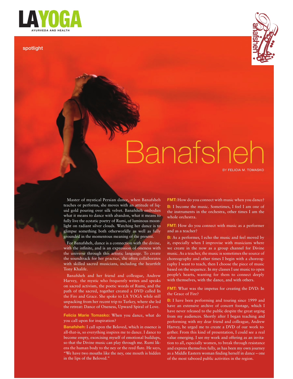

The Graceful Indian Martial

In this feature-length cinematic

takes a trip with spiritual teacher Anand Mehrotra, a film crew, and a group of avid bikers along the world's highest roads in the

Himalayan Mountains.

**32**

layoga\_july2011\_text.indd 3 **!"**!! **#\$%&'\$** JULY/AUGUST 2011 5/07/11 9:36 AM

For Yukiko Amaya, the lunging, stick fighting, and complex sequencing in this ancient Indian martial art has helped her find a profound state of presence that is at the crux of this

#### spotlight



## Banafshe BY FELICIA M. TOMASKO

Master of mystical Persian dance, when Banafsheh teaches or performs, she moves with an attitude of liquid gold pouring over silk velvet. Banafsheh embodies what it means to dance with abandon, what it means to fully live the ecstatic poetry of Rumi, of luminous moonlight on radiant silver clouds. Watching her dance is to glimpse something both otherworldly as well as fully grounded in the momentous meaning of the present.

**Don't Miss Lady Khalife.** For Banafsheh, dance is a connection with the divine, with the infinite, and is an expression of oneness with the universe through this artistic language. To create the soundtrack for her practice, she often collaborates with skilled sacred musicians, including the heartfelt

**Adventures on page 544** Banafsheh and her friend and colleague, Andrew Harvey, the mystic who frequently writes and speaks on sacred activism, the poetic words of Rumi, and the path of the sacred, together created a DVD called In the Fire and Grace. She spoke to LA YOGA while still unpacking from her recent trip to Turkey, where she led the retreat: Dance of Oneness, Upward Spiral of Love.

> you call upon for inspiration? **Felicia Marie Tomasko:** When you dance, what do

in the lips of the Beloved." **Banafsheh:** I call upon the Beloved, which in essence is all-that-is, so everything inspires me to dance. I dance to become empty, exorcising myself of emotional buildups, so that the Divine music can play through me. Rumi likens the human body to the ney or the reed flute. He says, "We have two mouths like the ney, one mouth is hidden

**FMT:** How do you connect with music when you dance? **B:** I become the music. Sometimes, I feel I am one of the instruments in the orchestra, other times I am the whole orchestra.

**FMT:** How do you connect with music as a performer and as a teacher?

**B:** As a performer, I echo the music and feel moved by it, especially when I improvise with musicians where we create in the now as a group channel for Divine music. As a teacher, the music is sometimes the source of choreography and other times I begin with a choreography I want to teach, then I choose the piece of music based on the sequence. In my classes I use music to open people's hearts, wanting for them to connect deeply with themselves, with the dance, and with others.

**FMT:** What was the impetus for creating the DVD: In the Grace of Fire?

**B:** I have been performing and touring since 1999 and have an extensive archive of concert footage, which I have never released to the public despite the great urging from my audiences. Shortly after I began teaching and performing with my dear friend and colleague, Andrew Harvey, he urged me to create a DVD of our work together. From this kind of presentation, I could see a real value emerging. I see my work and offering as an invitation to all, especially women, to break through resistance and express themselves fully, as has been my own journey as a Middle Eastern woman finding herself in dance – one of the most tabooed public activities in the region.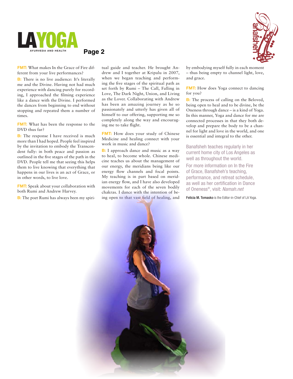

**Page 2**



**FMT:** What makes In the Grace of Fire different from your live performances?

**B:** There is no live audience: It's literally experience with dancing purely for recording, I approached the filming experience like a dance with the Divine. I performed the dances from beginning to end without stopping and repeated them a number of times. me and the Divine. Having not had much

FMT: What has been the response to the DVD thus far?

**B:** The response I have received is much **24** more than I had hoped. People feel inspired by the invitation to embody the Transcendent fully: in both peace and passion as outlined in the five stages of the path in the DVD. People tell me that seeing this helps them to live knowing that everything that happens in our lives is an act of Grace, or in other words, to live love.

FMT: Speak about your collaboration with both Rumi and Andrew Harvey.

000<br>**D**. T **B:** The poet Rumi has always been my spiritual guide and teacher. He brought Andrew and I together at Kripalu in 2007, when we began teaching and performing the five stages of the spiritual path as set forth by Rumi – The Call, Falling in Love, The Dark Night, Union, and Living as the Lover. Collaborating with Andrew has been an amazing journey as he so passionately and utterly has given all of himself to our offering, supporting me so completely along the way and encouraging me to take flight.

**FMT:** How does your study of Chinese Medicine and healing connect with your work in music and dance?

**B:** I approach dance and music as a way to heal, to become whole. Chinese medicine teaches us about the management of our energy, the meridians being like our energy flow channels and focal points. My teaching is in part based on meridian energy flow, and I have also developed movements for each of the seven bodily chakras. I dance with the intention of being open to that vast field of healing, and

by embodying myself fully in each moment – thus being empty to channel light, love, and grace.

**FMT:** How does Yoga connect to dancing for you?

**B:** The process of calling on the Beloved, being open to heal and to be divine, be the Oneness through dance – is a kind of Yoga. In this manner, Yoga and dance for me are connected processes in that they both develop and prepare the body to be a channel for light and love in the world, and one is essential and integral to the other.

Banafsheh teaches regularly in her current home city of Los Angeles as well as throughout the world.

For more information on In the Fire of Grace, Banafsheh's teaching, performance, and retreat schedule, as well as her certification in Dance of Oneness®, visit: Namah.net

Felicia M. Tomasko is the Editor-in-Chief of LA Yoga.